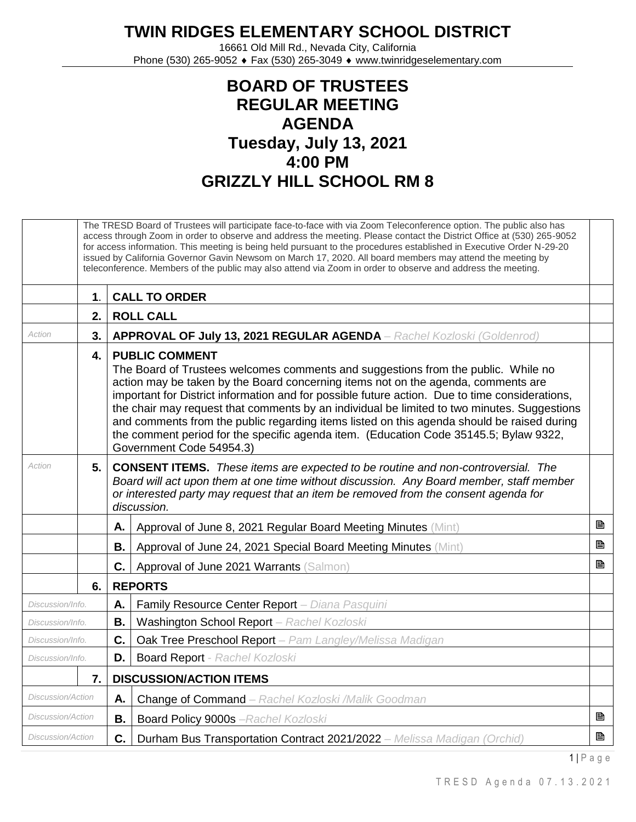## **TWIN RIDGES ELEMENTARY SCHOOL DISTRICT**

16661 Old Mill Rd., Nevada City, California Phone (530) 265-9052 ♦ Fax (530) 265-3049 ♦ www.twinridgeselementary.com

## **BOARD OF TRUSTEES REGULAR MEETING AGENDA Tuesday, July 13, 2021 4:00 PM GRIZZLY HILL SCHOOL RM 8**

|                          | The TRESD Board of Trustees will participate face-to-face with via Zoom Teleconference option. The public also has<br>access through Zoom in order to observe and address the meeting. Please contact the District Office at (530) 265-9052<br>for access information. This meeting is being held pursuant to the procedures established in Executive Order N-29-20<br>issued by California Governor Gavin Newsom on March 17, 2020. All board members may attend the meeting by<br>teleconference. Members of the public may also attend via Zoom in order to observe and address the meeting. |                                                                                                                                                                                                                                                                                                                                                                                                                                                                                                                                                                                                                     |   |  |  |
|--------------------------|-------------------------------------------------------------------------------------------------------------------------------------------------------------------------------------------------------------------------------------------------------------------------------------------------------------------------------------------------------------------------------------------------------------------------------------------------------------------------------------------------------------------------------------------------------------------------------------------------|---------------------------------------------------------------------------------------------------------------------------------------------------------------------------------------------------------------------------------------------------------------------------------------------------------------------------------------------------------------------------------------------------------------------------------------------------------------------------------------------------------------------------------------------------------------------------------------------------------------------|---|--|--|
|                          | $\mathbf 1$ .                                                                                                                                                                                                                                                                                                                                                                                                                                                                                                                                                                                   | <b>CALL TO ORDER</b>                                                                                                                                                                                                                                                                                                                                                                                                                                                                                                                                                                                                |   |  |  |
|                          | 2.                                                                                                                                                                                                                                                                                                                                                                                                                                                                                                                                                                                              | <b>ROLL CALL</b>                                                                                                                                                                                                                                                                                                                                                                                                                                                                                                                                                                                                    |   |  |  |
| Action                   | 3.                                                                                                                                                                                                                                                                                                                                                                                                                                                                                                                                                                                              | APPROVAL OF July 13, 2021 REGULAR AGENDA - Rachel Kozloski (Goldenrod)                                                                                                                                                                                                                                                                                                                                                                                                                                                                                                                                              |   |  |  |
|                          | 4.                                                                                                                                                                                                                                                                                                                                                                                                                                                                                                                                                                                              | <b>PUBLIC COMMENT</b><br>The Board of Trustees welcomes comments and suggestions from the public. While no<br>action may be taken by the Board concerning items not on the agenda, comments are<br>important for District information and for possible future action. Due to time considerations,<br>the chair may request that comments by an individual be limited to two minutes. Suggestions<br>and comments from the public regarding items listed on this agenda should be raised during<br>the comment period for the specific agenda item. (Education Code 35145.5; Bylaw 9322,<br>Government Code 54954.3) |   |  |  |
| Action                   | 5.                                                                                                                                                                                                                                                                                                                                                                                                                                                                                                                                                                                              | <b>CONSENT ITEMS.</b> These items are expected to be routine and non-controversial. The<br>Board will act upon them at one time without discussion. Any Board member, staff member<br>or interested party may request that an item be removed from the consent agenda for<br>discussion.                                                                                                                                                                                                                                                                                                                            |   |  |  |
|                          |                                                                                                                                                                                                                                                                                                                                                                                                                                                                                                                                                                                                 | Approval of June 8, 2021 Regular Board Meeting Minutes (Mint)<br>А.                                                                                                                                                                                                                                                                                                                                                                                                                                                                                                                                                 | P |  |  |
|                          |                                                                                                                                                                                                                                                                                                                                                                                                                                                                                                                                                                                                 | <b>B.</b><br>Approval of June 24, 2021 Special Board Meeting Minutes (Mint)                                                                                                                                                                                                                                                                                                                                                                                                                                                                                                                                         | B |  |  |
|                          |                                                                                                                                                                                                                                                                                                                                                                                                                                                                                                                                                                                                 | C.<br>Approval of June 2021 Warrants (Salmon)                                                                                                                                                                                                                                                                                                                                                                                                                                                                                                                                                                       | 昏 |  |  |
|                          | 6.                                                                                                                                                                                                                                                                                                                                                                                                                                                                                                                                                                                              | <b>REPORTS</b>                                                                                                                                                                                                                                                                                                                                                                                                                                                                                                                                                                                                      |   |  |  |
| Discussion/Info.         |                                                                                                                                                                                                                                                                                                                                                                                                                                                                                                                                                                                                 | Family Resource Center Report - Diana Pasquini<br>А.                                                                                                                                                                                                                                                                                                                                                                                                                                                                                                                                                                |   |  |  |
| Discussion/Info.         |                                                                                                                                                                                                                                                                                                                                                                                                                                                                                                                                                                                                 | Washington School Report - Rachel Kozloski<br><b>B.</b>                                                                                                                                                                                                                                                                                                                                                                                                                                                                                                                                                             |   |  |  |
| Discussion/Info.         |                                                                                                                                                                                                                                                                                                                                                                                                                                                                                                                                                                                                 | C.<br>Oak Tree Preschool Report - Pam Langley/Melissa Madigan                                                                                                                                                                                                                                                                                                                                                                                                                                                                                                                                                       |   |  |  |
| Discussion/Info.         |                                                                                                                                                                                                                                                                                                                                                                                                                                                                                                                                                                                                 | D.<br><b>Board Report</b> - Rachel Kozloski                                                                                                                                                                                                                                                                                                                                                                                                                                                                                                                                                                         |   |  |  |
| 7.                       |                                                                                                                                                                                                                                                                                                                                                                                                                                                                                                                                                                                                 | <b>DISCUSSION/ACTION ITEMS</b>                                                                                                                                                                                                                                                                                                                                                                                                                                                                                                                                                                                      |   |  |  |
| <b>Discussion/Action</b> |                                                                                                                                                                                                                                                                                                                                                                                                                                                                                                                                                                                                 | А.<br>Change of Command - Rachel Kozloski /Malik Goodman                                                                                                                                                                                                                                                                                                                                                                                                                                                                                                                                                            |   |  |  |
| Discussion/Action        |                                                                                                                                                                                                                                                                                                                                                                                                                                                                                                                                                                                                 | В.<br>Board Policy 9000s - Rachel Kozloski                                                                                                                                                                                                                                                                                                                                                                                                                                                                                                                                                                          | B |  |  |
| Discussion/Action        |                                                                                                                                                                                                                                                                                                                                                                                                                                                                                                                                                                                                 | C.<br>Durham Bus Transportation Contract 2021/2022 - Melissa Madigan (Orchid)                                                                                                                                                                                                                                                                                                                                                                                                                                                                                                                                       | B |  |  |

1 | P a g e